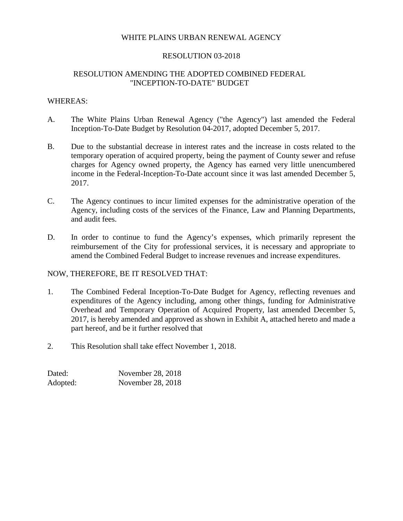## WHITE PLAINS URBAN RENEWAL AGENCY

## RESOLUTION 03-2018

# RESOLUTION AMENDING THE ADOPTED COMBINED FEDERAL "INCEPTION-TO-DATE" BUDGET

### WHEREAS:

- A. The White Plains Urban Renewal Agency ("the Agency") last amended the Federal Inception-To-Date Budget by Resolution 04-2017, adopted December 5, 2017.
- B. Due to the substantial decrease in interest rates and the increase in costs related to the temporary operation of acquired property, being the payment of County sewer and refuse charges for Agency owned property, the Agency has earned very little unencumbered income in the Federal-Inception-To-Date account since it was last amended December 5, 2017.
- C. The Agency continues to incur limited expenses for the administrative operation of the Agency, including costs of the services of the Finance, Law and Planning Departments, and audit fees.
- D. In order to continue to fund the Agency's expenses, which primarily represent the reimbursement of the City for professional services, it is necessary and appropriate to amend the Combined Federal Budget to increase revenues and increase expenditures.

## NOW, THEREFORE, BE IT RESOLVED THAT:

- 1. The Combined Federal Inception-To-Date Budget for Agency, reflecting revenues and expenditures of the Agency including, among other things, funding for Administrative Overhead and Temporary Operation of Acquired Property, last amended December 5, 2017, is hereby amended and approved as shown in Exhibit A, attached hereto and made a part hereof, and be it further resolved that
- 2. This Resolution shall take effect November 1, 2018.

| Dated:   | November 28, 2018 |
|----------|-------------------|
| Adopted: | November 28, 2018 |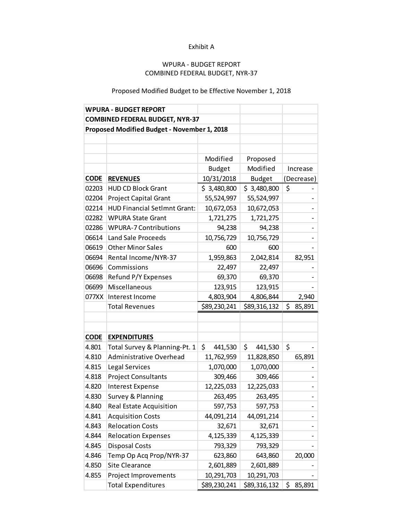### Exhibit A

# WPURA - BUDGET REPORT COMBINED FEDERAL BUDGET, NYR-37

# Proposed Modified Budget to be Effective November 1, 2018

|                                             | <b>WPURA - BUDGET REPORT</b>        |               |               |              |
|---------------------------------------------|-------------------------------------|---------------|---------------|--------------|
| <b>COMBINED FEDERAL BUDGET, NYR-37</b>      |                                     |               |               |              |
| Proposed Modified Budget - November 1, 2018 |                                     |               |               |              |
|                                             |                                     |               |               |              |
|                                             |                                     |               |               |              |
|                                             |                                     | Modified      | Proposed      |              |
|                                             |                                     | <b>Budget</b> | Modified      | Increase     |
| <b>CODE</b>                                 | <b>REVENUES</b>                     | 10/31/2018    | <b>Budget</b> | (Decrease)   |
| 02203                                       | <b>HUD CD Block Grant</b>           | \$3,480,800   | \$3,480,800   | \$           |
| 02204                                       | <b>Project Capital Grant</b>        | 55,524,997    | 55,524,997    |              |
| 02214                                       | <b>HUD Financial SetImnt Grant:</b> | 10,672,053    | 10,672,053    |              |
| 02282                                       | <b>WPURA State Grant</b>            | 1,721,275     | 1,721,275     |              |
| 02286                                       | <b>WPURA-7 Contributions</b>        | 94,238        | 94,238        |              |
| 06614                                       | Land Sale Proceeds                  | 10,756,729    | 10,756,729    |              |
| 06619                                       | <b>Other Minor Sales</b>            | 600           | 600           |              |
| 06694                                       | Rental Income/NYR-37                | 1,959,863     | 2,042,814     | 82,951       |
| 06696                                       | Commissions                         | 22,497        | 22,497        |              |
| 06698                                       | Refund P/Y Expenses                 | 69,370        | 69,370        |              |
| 06699                                       | Miscellaneous                       | 123,915       | 123,915       |              |
| 077XX                                       | Interest Income                     | 4,803,904     | 4,806,844     | 2,940        |
|                                             | <b>Total Revenues</b>               | \$89,230,241  | \$89,316,132  | \$<br>85,891 |
|                                             |                                     |               |               |              |
|                                             |                                     |               |               |              |
| <b>CODE</b>                                 | <b>EXPENDITURES</b>                 |               |               |              |
| 4.801                                       | Total Survey & Planning-Pt. 1       | \$<br>441,530 | \$<br>441,530 | \$           |
| 4.810                                       | Administrative Overhead             | 11,762,959    | 11,828,850    | 65,891       |
| 4.815                                       | Legal Services                      | 1,070,000     | 1,070,000     |              |
| 4.818                                       | <b>Project Consultants</b>          | 309,466       | 309,466       |              |
| 4.820                                       | <b>Interest Expense</b>             | 12,225,033    | 12,225,033    |              |
| 4.830                                       | Survey & Planning                   | 263,495       | 263,495       |              |
| 4.840                                       | Real Estate Acquisition             | 597,753       | 597,753       |              |
| 4.841                                       | <b>Acquisition Costs</b>            | 44,091,214    | 44,091,214    |              |
| 4.843                                       | <b>Relocation Costs</b>             | 32,671        | 32,671        |              |
| 4.844                                       | <b>Relocation Expenses</b>          | 4,125,339     | 4,125,339     |              |
| 4.845                                       | <b>Disposal Costs</b>               | 793,329       | 793,329       |              |
| 4.846                                       | Temp Op Acq Prop/NYR-37             | 623,860       | 643,860       | 20,000       |
| 4.850                                       | <b>Site Clearance</b>               | 2,601,889     | 2,601,889     |              |
| 4.855                                       | <b>Project Improvements</b>         | 10,291,703    | 10,291,703    |              |
|                                             | <b>Total Expenditures</b>           | \$89,230,241  | \$89,316,132  | \$<br>85,891 |